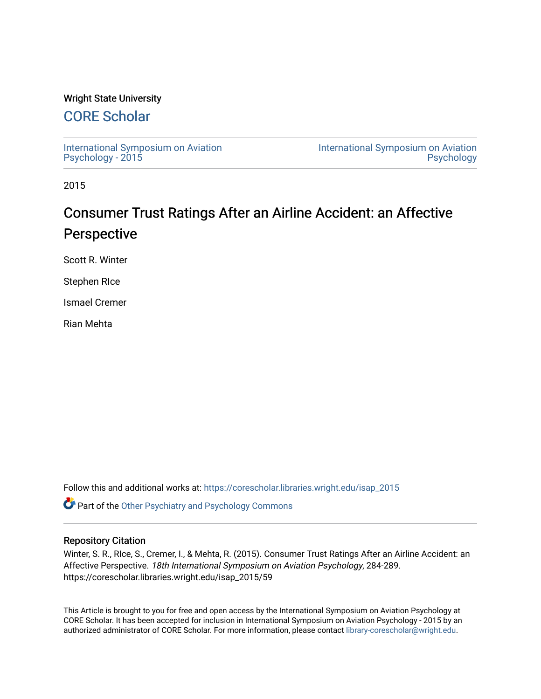# Wright State University

# [CORE Scholar](https://corescholar.libraries.wright.edu/)

[International Symposium on Aviation](https://corescholar.libraries.wright.edu/isap_2015) [Psychology - 2015](https://corescholar.libraries.wright.edu/isap_2015)

[International Symposium on Aviation](https://corescholar.libraries.wright.edu/isap)  [Psychology](https://corescholar.libraries.wright.edu/isap) 

2015

# Consumer Trust Ratings After an Airline Accident: an Affective Perspective

Scott R. Winter

Stephen RIce

Ismael Cremer

Rian Mehta

Follow this and additional works at: [https://corescholar.libraries.wright.edu/isap\\_2015](https://corescholar.libraries.wright.edu/isap_2015?utm_source=corescholar.libraries.wright.edu%2Fisap_2015%2F59&utm_medium=PDF&utm_campaign=PDFCoverPages)

**C** Part of the [Other Psychiatry and Psychology Commons](http://network.bepress.com/hgg/discipline/992?utm_source=corescholar.libraries.wright.edu%2Fisap_2015%2F59&utm_medium=PDF&utm_campaign=PDFCoverPages)

# Repository Citation

Winter, S. R., RIce, S., Cremer, I., & Mehta, R. (2015). Consumer Trust Ratings After an Airline Accident: an Affective Perspective. 18th International Symposium on Aviation Psychology, 284-289. https://corescholar.libraries.wright.edu/isap\_2015/59

This Article is brought to you for free and open access by the International Symposium on Aviation Psychology at CORE Scholar. It has been accepted for inclusion in International Symposium on Aviation Psychology - 2015 by an authorized administrator of CORE Scholar. For more information, please contact [library-corescholar@wright.edu](mailto:library-corescholar@wright.edu).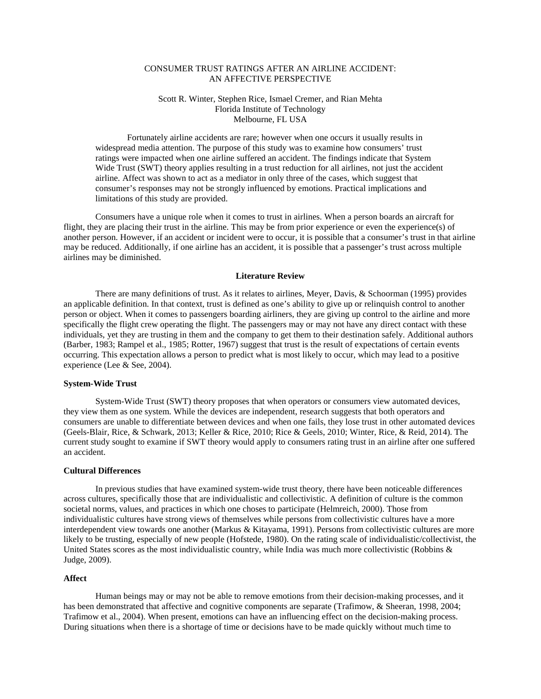# CONSUMER TRUST RATINGS AFTER AN AIRLINE ACCIDENT: AN AFFECTIVE PERSPECTIVE

# Scott R. Winter, Stephen Rice, Ismael Cremer, and Rian Mehta Florida Institute of Technology Melbourne, FL USA

Fortunately airline accidents are rare; however when one occurs it usually results in widespread media attention. The purpose of this study was to examine how consumers' trust ratings were impacted when one airline suffered an accident. The findings indicate that System Wide Trust (SWT) theory applies resulting in a trust reduction for all airlines, not just the accident airline. Affect was shown to act as a mediator in only three of the cases, which suggest that consumer's responses may not be strongly influenced by emotions. Practical implications and limitations of this study are provided.

Consumers have a unique role when it comes to trust in airlines. When a person boards an aircraft for flight, they are placing their trust in the airline. This may be from prior experience or even the experience(s) of another person. However, if an accident or incident were to occur, it is possible that a consumer's trust in that airline may be reduced. Additionally, if one airline has an accident, it is possible that a passenger's trust across multiple airlines may be diminished.

# **Literature Review**

There are many definitions of trust. As it relates to airlines, Meyer, Davis, & Schoorman (1995) provides an applicable definition. In that context, trust is defined as one's ability to give up or relinquish control to another person or object. When it comes to passengers boarding airliners, they are giving up control to the airline and more specifically the flight crew operating the flight. The passengers may or may not have any direct contact with these individuals, yet they are trusting in them and the company to get them to their destination safely. Additional authors (Barber, 1983; Rampel et al., 1985; Rotter, 1967) suggest that trust is the result of expectations of certain events occurring. This expectation allows a person to predict what is most likely to occur, which may lead to a positive experience (Lee & See, 2004).

# **System-Wide Trust**

System-Wide Trust (SWT) theory proposes that when operators or consumers view automated devices, they view them as one system. While the devices are independent, research suggests that both operators and consumers are unable to differentiate between devices and when one fails, they lose trust in other automated devices (Geels-Blair, Rice, & Schwark, 2013; Keller & Rice, 2010; Rice & Geels, 2010; Winter, Rice, & Reid, 2014). The current study sought to examine if SWT theory would apply to consumers rating trust in an airline after one suffered an accident.

# **Cultural Differences**

In previous studies that have examined system-wide trust theory, there have been noticeable differences across cultures, specifically those that are individualistic and collectivistic. A definition of culture is the common societal norms, values, and practices in which one choses to participate (Helmreich, 2000). Those from individualistic cultures have strong views of themselves while persons from collectivistic cultures have a more interdependent view towards one another (Markus & Kitayama, 1991). Persons from collectivistic cultures are more likely to be trusting, especially of new people (Hofstede, 1980). On the rating scale of individualistic/collectivist, the United States scores as the most individualistic country, while India was much more collectivistic (Robbins & Judge, 2009).

# **Affect**

Human beings may or may not be able to remove emotions from their decision-making processes, and it has been demonstrated that affective and cognitive components are separate (Trafimow, & Sheeran, 1998, 2004; Trafimow et al., 2004). When present, emotions can have an influencing effect on the decision-making process. During situations when there is a shortage of time or decisions have to be made quickly without much time to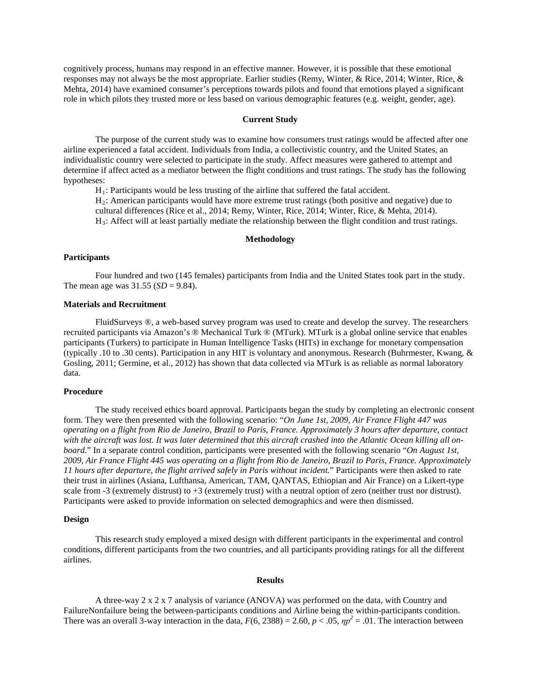cognitively process, humans may respond in an effective manner. However, it is possible that these emotional responses may not always be the most appropriate. Earlier studies (Remy, Winter, & Rice, 2014; Winter, Rice, & Mehta, 2014) have examined consumer's perceptions towards pilots and found that emotions played a significant role in which pilots they trusted more or less based on various demographic features (e.g. weight, gender, age).

### **Current Study**

The purpose of the current study was to examine how consumers trust ratings would be affected after one airline experienced a fatal accident. Individuals from India, a collectivistic country, and the United States, an individualistic country were selected to participate in the study. Affect measures were gathered to attempt and determine if affect acted as a mediator between the flight conditions and trust ratings. The study has the following hypotheses:

 $H_1$ : Participants would be less trusting of the airline that suffered the fatal accident.

H2: American participants would have more extreme trust ratings (both positive and negative) due to cultural differences (Rice et al., 2014; Remy, Winter, Rice, 2014; Winter, Rice, & Mehta, 2014).  $H_3$ : Affect will at least partially mediate the relationship between the flight condition and trust ratings.

#### **Methodology**

# **Participants**

Four hundred and two (145 females) participants from India and the United States took part in the study. The mean age was  $31.55$  (*SD* = 9.84).

# **Materials and Recruitment**

FluidSurveys ®, a web-based survey program was used to create and develop the survey. The researchers recruited participants via Amazon's ® Mechanical Turk ® (MTurk). MTurk is a global online service that enables participants (Turkers) to participate in Human Intelligence Tasks (HITs) in exchange for monetary compensation (typically .10 to .30 cents). Participation in any HIT is voluntary and anonymous. Research (Buhrmester, Kwang, & Gosling, 2011; Germine, et al., 2012) has shown that data collected via MTurk is as reliable as normal laboratory data.

# **Procedure**

The study received ethics board approval. Participants began the study by completing an electronic consent form. They were then presented with the following scenario: "*On June 1st, 2009, Air France Flight 447 was operating on a flight from Rio de Janeiro, Brazil to Paris, France. Approximately 3 hours after departure, contact with the aircraft was lost. It was later determined that this aircraft crashed into the Atlantic Ocean killing all onboard.*" In a separate control condition, participants were presented with the following scenario "*On August 1st, 2009, Air France Flight 445 was operating on a flight from Rio de Janeiro, Brazil to Paris, France. Approximately 11 hours after departure, the flight arrived safely in Paris without incident.*" Participants were then asked to rate their trust in airlines (Asiana, Lufthansa, American, TAM, QANTAS, Ethiopian and Air France) on a Likert-type scale from -3 (extremely distrust) to  $+3$  (extremely trust) with a neutral option of zero (neither trust nor distrust). Participants were asked to provide information on selected demographics and were then dismissed.

#### **Design**

This research study employed a mixed design with different participants in the experimental and control conditions, different participants from the two countries, and all participants providing ratings for all the different airlines.

#### **Results**

A three-way 2 x 2 x 7 analysis of variance (ANOVA) was performed on the data, with Country and FailureNonfailure being the between-participants conditions and Airline being the within-participants condition. There was an overall 3-way interaction in the data,  $F(6, 2388) = 2.60$ ,  $p < .05$ ,  $np^2 = .01$ . The interaction between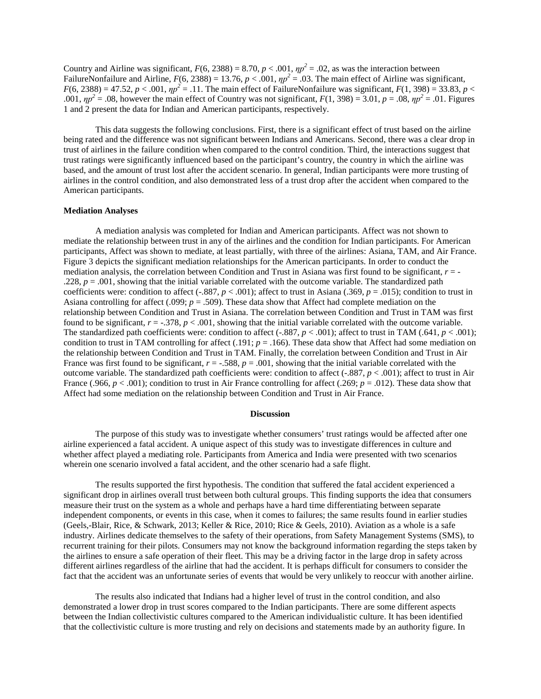Country and Airline was significant,  $F(6, 2388) = 8.70$ ,  $p < .001$ ,  $np^2 = .02$ , as was the interaction between FailureNonfailure and Airline,  $F(6, 2388) = 13.76$ ,  $p < .001$ ,  $np^2 = .03$ . The main effect of Airline was significant,  $F(6, 2388) = 47.52, p < .001, \eta p^2 = .11$ . The main effect of FailureNonfailure was significant,  $F(1, 398) = 33.83, p <$ .001,  $\eta p^2 = .08$ , however the main effect of Country was not significant,  $F(1, 398) = 3.01$ ,  $p = .08$ ,  $\eta p^2 = .01$ . Figures 1 and 2 present the data for Indian and American participants, respectively.

This data suggests the following conclusions. First, there is a significant effect of trust based on the airline being rated and the difference was not significant between Indians and Americans. Second, there was a clear drop in trust of airlines in the failure condition when compared to the control condition. Third, the interactions suggest that trust ratings were significantly influenced based on the participant's country, the country in which the airline was based, and the amount of trust lost after the accident scenario. In general, Indian participants were more trusting of airlines in the control condition, and also demonstrated less of a trust drop after the accident when compared to the American participants.

### **Mediation Analyses**

A mediation analysis was completed for Indian and American participants. Affect was not shown to mediate the relationship between trust in any of the airlines and the condition for Indian participants. For American participants, Affect was shown to mediate, at least partially, with three of the airlines: Asiana, TAM, and Air France. Figure 3 depicts the significant mediation relationships for the American participants. In order to conduct the mediation analysis, the correlation between Condition and Trust in Asiana was first found to be significant, *r* = - .228,  $p = .001$ , showing that the initial variable correlated with the outcome variable. The standardized path coefficients were: condition to affect (-.887,  $p < .001$ ); affect to trust in Asiana (.369,  $p = .015$ ); condition to trust in Asiana controlling for affect (.099; *p* = .509). These data show that Affect had complete mediation on the relationship between Condition and Trust in Asiana. The correlation between Condition and Trust in TAM was first found to be significant,  $r = -.378$ ,  $p < .001$ , showing that the initial variable correlated with the outcome variable. The standardized path coefficients were: condition to affect  $(-.887, p < .001)$ ; affect to trust in TAM  $(.641, p < .001)$ ; condition to trust in TAM controlling for affect (.191; *p* = .166). These data show that Affect had some mediation on the relationship between Condition and Trust in TAM. Finally, the correlation between Condition and Trust in Air France was first found to be significant,  $r = -588$ ,  $p = .001$ , showing that the initial variable correlated with the outcome variable. The standardized path coefficients were: condition to affect  $(-.887, p < .001)$ ; affect to trust in Air France (.966,  $p < .001$ ); condition to trust in Air France controlling for affect (.269;  $p = .012$ ). These data show that Affect had some mediation on the relationship between Condition and Trust in Air France.

#### **Discussion**

The purpose of this study was to investigate whether consumers' trust ratings would be affected after one airline experienced a fatal accident. A unique aspect of this study was to investigate differences in culture and whether affect played a mediating role. Participants from America and India were presented with two scenarios wherein one scenario involved a fatal accident, and the other scenario had a safe flight.

The results supported the first hypothesis. The condition that suffered the fatal accident experienced a significant drop in airlines overall trust between both cultural groups. This finding supports the idea that consumers measure their trust on the system as a whole and perhaps have a hard time differentiating between separate independent components, or events in this case, when it comes to failures; the same results found in earlier studies (Geels,-Blair, Rice, & Schwark, 2013; Keller & Rice, 2010; Rice & Geels, 2010). Aviation as a whole is a safe industry. Airlines dedicate themselves to the safety of their operations, from Safety Management Systems (SMS), to recurrent training for their pilots. Consumers may not know the background information regarding the steps taken by the airlines to ensure a safe operation of their fleet. This may be a driving factor in the large drop in safety across different airlines regardless of the airline that had the accident. It is perhaps difficult for consumers to consider the fact that the accident was an unfortunate series of events that would be very unlikely to reoccur with another airline.

The results also indicated that Indians had a higher level of trust in the control condition, and also demonstrated a lower drop in trust scores compared to the Indian participants. There are some different aspects between the Indian collectivistic cultures compared to the American individualistic culture. It has been identified that the collectivistic culture is more trusting and rely on decisions and statements made by an authority figure. In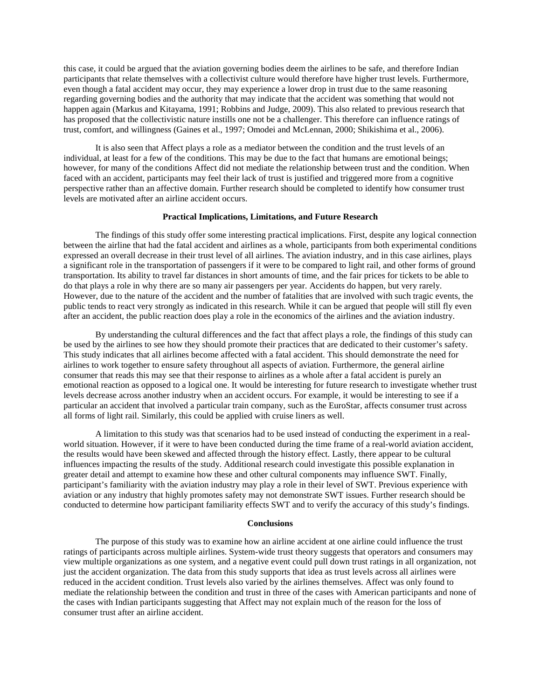this case, it could be argued that the aviation governing bodies deem the airlines to be safe, and therefore Indian participants that relate themselves with a collectivist culture would therefore have higher trust levels. Furthermore, even though a fatal accident may occur, they may experience a lower drop in trust due to the same reasoning regarding governing bodies and the authority that may indicate that the accident was something that would not happen again (Markus and Kitayama, 1991; Robbins and Judge, 2009). This also related to previous research that has proposed that the collectivistic nature instills one not be a challenger. This therefore can influence ratings of trust, comfort, and willingness (Gaines et al., 1997; Omodei and McLennan, 2000; Shikishima et al., 2006).

It is also seen that Affect plays a role as a mediator between the condition and the trust levels of an individual, at least for a few of the conditions. This may be due to the fact that humans are emotional beings; however, for many of the conditions Affect did not mediate the relationship between trust and the condition. When faced with an accident, participants may feel their lack of trust is justified and triggered more from a cognitive perspective rather than an affective domain. Further research should be completed to identify how consumer trust levels are motivated after an airline accident occurs.

### **Practical Implications, Limitations, and Future Research**

The findings of this study offer some interesting practical implications. First, despite any logical connection between the airline that had the fatal accident and airlines as a whole, participants from both experimental conditions expressed an overall decrease in their trust level of all airlines. The aviation industry, and in this case airlines, plays a significant role in the transportation of passengers if it were to be compared to light rail, and other forms of ground transportation. Its ability to travel far distances in short amounts of time, and the fair prices for tickets to be able to do that plays a role in why there are so many air passengers per year. Accidents do happen, but very rarely. However, due to the nature of the accident and the number of fatalities that are involved with such tragic events, the public tends to react very strongly as indicated in this research. While it can be argued that people will still fly even after an accident, the public reaction does play a role in the economics of the airlines and the aviation industry.

By understanding the cultural differences and the fact that affect plays a role, the findings of this study can be used by the airlines to see how they should promote their practices that are dedicated to their customer's safety. This study indicates that all airlines become affected with a fatal accident. This should demonstrate the need for airlines to work together to ensure safety throughout all aspects of aviation. Furthermore, the general airline consumer that reads this may see that their response to airlines as a whole after a fatal accident is purely an emotional reaction as opposed to a logical one. It would be interesting for future research to investigate whether trust levels decrease across another industry when an accident occurs. For example, it would be interesting to see if a particular an accident that involved a particular train company, such as the EuroStar, affects consumer trust across all forms of light rail. Similarly, this could be applied with cruise liners as well.

A limitation to this study was that scenarios had to be used instead of conducting the experiment in a realworld situation. However, if it were to have been conducted during the time frame of a real-world aviation accident, the results would have been skewed and affected through the history effect. Lastly, there appear to be cultural influences impacting the results of the study. Additional research could investigate this possible explanation in greater detail and attempt to examine how these and other cultural components may influence SWT. Finally, participant's familiarity with the aviation industry may play a role in their level of SWT. Previous experience with aviation or any industry that highly promotes safety may not demonstrate SWT issues. Further research should be conducted to determine how participant familiarity effects SWT and to verify the accuracy of this study's findings.

# **Conclusions**

The purpose of this study was to examine how an airline accident at one airline could influence the trust ratings of participants across multiple airlines. System-wide trust theory suggests that operators and consumers may view multiple organizations as one system, and a negative event could pull down trust ratings in all organization, not just the accident organization. The data from this study supports that idea as trust levels across all airlines were reduced in the accident condition. Trust levels also varied by the airlines themselves. Affect was only found to mediate the relationship between the condition and trust in three of the cases with American participants and none of the cases with Indian participants suggesting that Affect may not explain much of the reason for the loss of consumer trust after an airline accident.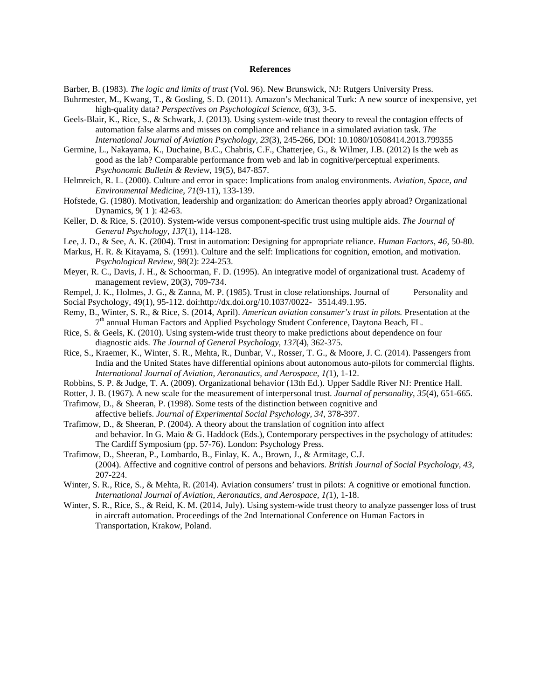### **References**

- Barber, B. (1983). *The logic and limits of trust* (Vol. 96). New Brunswick, NJ: Rutgers University Press.
- Buhrmester, M., Kwang, T., & Gosling, S. D. (2011). Amazon's Mechanical Turk: A new source of inexpensive, yet high-quality data? *Perspectives on Psychological Science, 6*(3), 3-5.
- Geels-Blair, K., Rice, S., & Schwark, J. (2013). Using system-wide trust theory to reveal the contagion effects of automation false alarms and misses on compliance and reliance in a simulated aviation task. *The International Journal of Aviation Psychology, 23*(3), 245-266, DOI: 10.1080/10508414.2013.799355
- Germine, L., Nakayama, K., Duchaine, B.C., Chabris, C.F., Chatterjee, G., & Wilmer, J.B. (2012) Is the web as good as the lab? Comparable performance from web and lab in cognitive/perceptual experiments. *Psychonomic Bulletin & Review*, 19(5), 847-857.
- Helmreich, R. L. (2000). Culture and error in space: Implications from analog environments. *Aviation, Space, and Environmental Medicine, 71*(9-11), 133-139.
- Hofstede, G. (1980). Motivation, leadership and organization: do American theories apply abroad? Organizational Dynamics, 9( 1 ): 42-63.
- Keller, D. & Rice, S. (2010). System-wide versus component-specific trust using multiple aids. *The Journal of General Psychology, 137*(1), 114-128.
- Lee, J. D., & See, A. K. (2004). Trust in automation: Designing for appropriate reliance. *Human Factors, 46,* 50-80.
- Markus, H. R. & Kitayama, S. (1991). Culture and the self: Implications for cognition, emotion, and motivation. *Psychological Review,* 98(2): 224-253.
- Meyer, R. C., Davis, J. H., & Schoorman, F. D. (1995). An integrative model of organizational trust. Academy of management review, 20(3), 709-734.
- Rempel, J. K., Holmes, J. G., & Zanna, M. P. (1985). Trust in close relationships. Journal of Personality and Social Psychology, 49(1), 95-112. doi:http://dx.doi.org/10.1037/0022- 3514.49.1.95.
- Remy, B., Winter, S. R., & Rice, S. (2014, April). *American aviation consumer's trust in pilots.* Presentation at the 7<sup>th</sup> annual Human Factors and Applied Psychology Student Conference, Daytona Beach, FL.
- Rice, S. & Geels, K. (2010). Using system-wide trust theory to make predictions about dependence on four diagnostic aids. *The Journal of General Psychology, 137*(4)*,* 362-375.
- Rice, S., Kraemer, K., Winter, S. R., Mehta, R., Dunbar, V., Rosser, T. G., & Moore, J. C. (2014). Passengers from India and the United States have differential opinions about autonomous auto-pilots for commercial flights. *International Journal of Aviation, Aeronautics, and Aerospace, 1(*1), 1-12.
- Robbins, S. P. & Judge, T. A. (2009). Organizational behavior (13th Ed.). Upper Saddle River NJ: Prentice Hall.
- Rotter, J. B. (1967). A new scale for the measurement of interpersonal trust. *Journal of personality*, *35*(4), 651-665.
- Trafimow, D., & Sheeran, P. (1998). Some tests of the distinction between cognitive and affective beliefs. *Journal of Experimental Social Psychology, 34*, 378-397.
- Trafimow, D., & Sheeran, P. (2004). A theory about the translation of cognition into affect and behavior. In G. Maio & G. Haddock (Eds.), Contemporary perspectives in the psychology of attitudes: The Cardiff Symposium (pp. 57-76). London: Psychology Press.
- Trafimow, D., Sheeran, P., Lombardo, B., Finlay, K. A., Brown, J., & Armitage, C.J. (2004). Affective and cognitive control of persons and behaviors. *British Journal of Social Psychology, 43*, 207-224.
- Winter, S. R., Rice, S., & Mehta, R. (2014). Aviation consumers' trust in pilots: A cognitive or emotional function. *International Journal of Aviation, Aeronautics, and Aerospace, 1(*1), 1-18.
- Winter, S. R., Rice, S., & Reid, K. M. (2014, July). Using system-wide trust theory to analyze passenger loss of trust in aircraft automation. Proceedings of the 2nd International Conference on Human Factors in Transportation, Krakow, Poland.